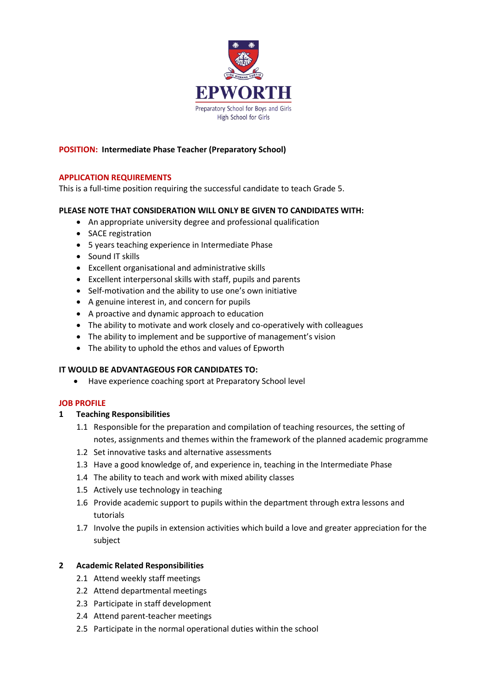

#### **POSITION: Intermediate Phase Teacher (Preparatory School)**

#### **APPLICATION REQUIREMENTS**

This is a full-time position requiring the successful candidate to teach Grade 5.

## **PLEASE NOTE THAT CONSIDERATION WILL ONLY BE GIVEN TO CANDIDATES WITH:**

- An appropriate university degree and professional qualification
- SACE registration
- 5 years teaching experience in Intermediate Phase
- Sound IT skills
- Excellent organisational and administrative skills
- Excellent interpersonal skills with staff, pupils and parents
- Self-motivation and the ability to use one's own initiative
- A genuine interest in, and concern for pupils
- A proactive and dynamic approach to education
- The ability to motivate and work closely and co-operatively with colleagues
- The ability to implement and be supportive of management's vision
- The ability to uphold the ethos and values of Epworth

## **IT WOULD BE ADVANTAGEOUS FOR CANDIDATES TO:**

• Have experience coaching sport at Preparatory School level

#### **JOB PROFILE**

#### **1 Teaching Responsibilities**

- 1.1 Responsible for the preparation and compilation of teaching resources, the setting of notes, assignments and themes within the framework of the planned academic programme
- 1.2 Set innovative tasks and alternative assessments
- 1.3 Have a good knowledge of, and experience in, teaching in the Intermediate Phase
- 1.4 The ability to teach and work with mixed ability classes
- 1.5 Actively use technology in teaching
- 1.6 Provide academic support to pupils within the department through extra lessons and tutorials
- 1.7 Involve the pupils in extension activities which build a love and greater appreciation for the subject

## **2 Academic Related Responsibilities**

- 2.1 Attend weekly staff meetings
- 2.2 Attend departmental meetings
- 2.3 Participate in staff development
- 2.4 Attend parent-teacher meetings
- 2.5 Participate in the normal operational duties within the school